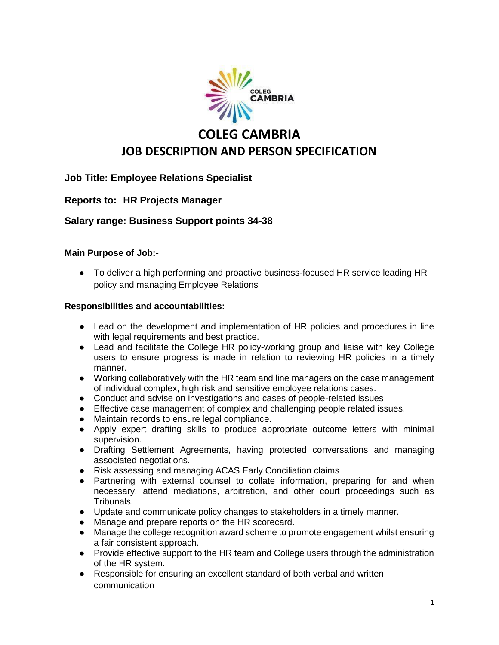

# **COLEG CAMBRIA**

# **JOB DESCRIPTION AND PERSON SPECIFICATION**

### **Job Title: Employee Relations Specialist**

### **Reports to: HR Projects Manager**

#### **Salary range: Business Support points 34-38**

-----------------------------------------------------------------------------------------------------------------

#### **Main Purpose of Job:-**

● To deliver a high performing and proactive business-focused HR service leading HR policy and managing Employee Relations

#### **Responsibilities and accountabilities:**

- Lead on the development and implementation of HR policies and procedures in line with legal requirements and best practice.
- Lead and facilitate the College HR policy-working group and liaise with key College users to ensure progress is made in relation to reviewing HR policies in a timely manner.
- Working collaboratively with the HR team and line managers on the case management of individual complex, high risk and sensitive employee relations cases.
- Conduct and advise on investigations and cases of people-related issues
- Effective case management of complex and challenging people related issues.
- Maintain records to ensure legal compliance.
- Apply expert drafting skills to produce appropriate outcome letters with minimal supervision.
- Drafting Settlement Agreements, having protected conversations and managing associated negotiations.
- Risk assessing and managing ACAS Early Conciliation claims
- Partnering with external counsel to collate information, preparing for and when necessary, attend mediations, arbitration, and other court proceedings such as Tribunals.
- Update and communicate policy changes to stakeholders in a timely manner.
- Manage and prepare reports on the HR scorecard.
- Manage the college recognition award scheme to promote engagement whilst ensuring a fair consistent approach.
- Provide effective support to the HR team and College users through the administration of the HR system.
- Responsible for ensuring an excellent standard of both verbal and written communication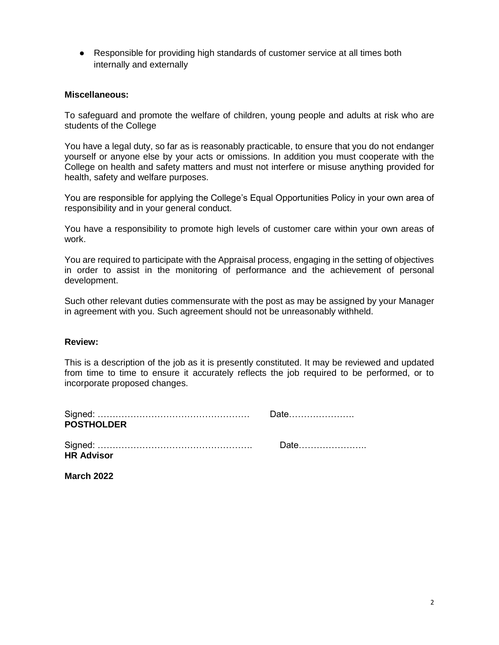● Responsible for providing high standards of customer service at all times both internally and externally

#### **Miscellaneous:**

To safeguard and promote the welfare of children, young people and adults at risk who are students of the College

You have a legal duty, so far as is reasonably practicable, to ensure that you do not endanger yourself or anyone else by your acts or omissions. In addition you must cooperate with the College on health and safety matters and must not interfere or misuse anything provided for health, safety and welfare purposes.

You are responsible for applying the College's Equal Opportunities Policy in your own area of responsibility and in your general conduct.

You have a responsibility to promote high levels of customer care within your own areas of work.

You are required to participate with the Appraisal process, engaging in the setting of objectives in order to assist in the monitoring of performance and the achievement of personal development.

Such other relevant duties commensurate with the post as may be assigned by your Manager in agreement with you. Such agreement should not be unreasonably withheld.

#### **Review:**

This is a description of the job as it is presently constituted. It may be reviewed and updated from time to time to ensure it accurately reflects the job required to be performed, or to incorporate proposed changes.

| <b>POSTHOLDER</b> |      |
|-------------------|------|
| <b>HR Advisor</b> | Date |

**March 2022**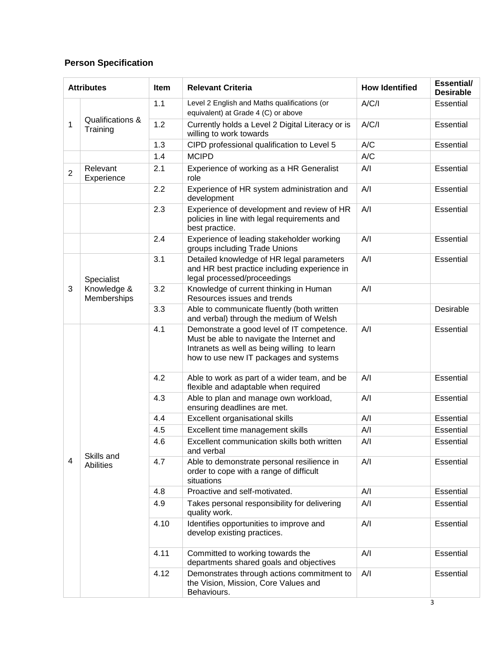## **Person Specification**

| <b>Attributes</b> |                                          | <b>Item</b> | <b>Relevant Criteria</b>                                                                                                                                                         | <b>How Identified</b> | Essential/<br><b>Desirable</b> |
|-------------------|------------------------------------------|-------------|----------------------------------------------------------------------------------------------------------------------------------------------------------------------------------|-----------------------|--------------------------------|
|                   | Qualifications &<br>Training             | 1.1         | Level 2 English and Maths qualifications (or<br>equivalent) at Grade 4 (C) or above                                                                                              | A/C/I                 | Essential                      |
| 1                 |                                          | 1.2         | Currently holds a Level 2 Digital Literacy or is<br>willing to work towards                                                                                                      | A/C/I                 | Essential                      |
|                   |                                          | 1.3         | CIPD professional qualification to Level 5                                                                                                                                       | A/C                   | Essential                      |
|                   |                                          | 1.4         | <b>MCIPD</b>                                                                                                                                                                     | A/C                   |                                |
| $\overline{2}$    | Relevant<br>Experience                   | 2.1         | Experience of working as a HR Generalist<br>role                                                                                                                                 | A/I                   | Essential                      |
|                   |                                          | 2.2         | Experience of HR system administration and<br>development                                                                                                                        | A/I                   | Essential                      |
|                   |                                          | 2.3         | Experience of development and review of HR<br>policies in line with legal requirements and<br>best practice.                                                                     | A/I                   | Essential                      |
|                   |                                          | 2.4         | Experience of leading stakeholder working<br>groups including Trade Unions                                                                                                       | A/I                   | Essential                      |
| 3                 | Specialist<br>Knowledge &<br>Memberships | 3.1         | Detailed knowledge of HR legal parameters<br>and HR best practice including experience in<br>legal processed/proceedings                                                         | A/I                   | Essential                      |
|                   |                                          | 3.2         | Knowledge of current thinking in Human<br>Resources issues and trends                                                                                                            | A/I                   |                                |
|                   |                                          | 3.3         | Able to communicate fluently (both written<br>and verbal) through the medium of Welsh                                                                                            |                       | Desirable                      |
|                   | Skills and<br><b>Abilities</b>           | 4.1         | Demonstrate a good level of IT competence.<br>Must be able to navigate the Internet and<br>Intranets as well as being willing to learn<br>how to use new IT packages and systems | A/I                   | Essential                      |
|                   |                                          | 4.2         | Able to work as part of a wider team, and be<br>flexible and adaptable when required                                                                                             | A/I                   | Essential                      |
|                   |                                          | 4.3         | Able to plan and manage own workload,<br>ensuring deadlines are met.                                                                                                             | A/I                   | Essential                      |
|                   |                                          | 4.4         | Excellent organisational skills                                                                                                                                                  | A/I                   | Essential                      |
|                   |                                          | 4.5         | Excellent time management skills                                                                                                                                                 | A/I                   | Essential                      |
| 4                 |                                          | 4.6         | Excellent communication skills both written<br>and verbal                                                                                                                        | A/I                   | Essential                      |
|                   |                                          | 4.7         | Able to demonstrate personal resilience in<br>order to cope with a range of difficult<br>situations                                                                              | A/I                   | Essential                      |
|                   |                                          | 4.8         | Proactive and self-motivated.                                                                                                                                                    | A/I                   | Essential                      |
|                   |                                          | 4.9         | Takes personal responsibility for delivering<br>quality work.                                                                                                                    | A/I                   | Essential                      |
|                   |                                          | 4.10        | Identifies opportunities to improve and<br>develop existing practices.                                                                                                           | A/I                   | Essential                      |
|                   |                                          | 4.11        | Committed to working towards the<br>departments shared goals and objectives                                                                                                      | A/I                   | Essential                      |
|                   |                                          | 4.12        | Demonstrates through actions commitment to<br>the Vision, Mission, Core Values and<br>Behaviours.                                                                                | A/I                   | Essential                      |